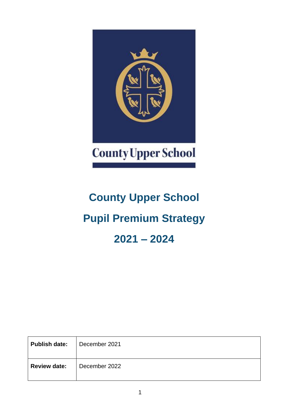

# **County Upper School Pupil Premium Strategy 2021 – 2024**

| <b>Publish date:</b> | December 2021 |
|----------------------|---------------|
| <b>Review date:</b>  | December 2022 |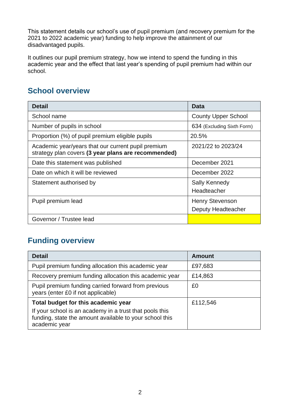This statement details our school's use of pupil premium (and recovery premium for the 2021 to 2022 academic year) funding to help improve the attainment of our disadvantaged pupils.

It outlines our pupil premium strategy, how we intend to spend the funding in this academic year and the effect that last year's spending of pupil premium had within our school.

#### **School overview**

| <b>Detail</b>                                                                                             | Data                                         |
|-----------------------------------------------------------------------------------------------------------|----------------------------------------------|
| School name                                                                                               | <b>County Upper School</b>                   |
| Number of pupils in school                                                                                | 634 (Excluding Sixth Form)                   |
| Proportion (%) of pupil premium eligible pupils                                                           | 20.5%                                        |
| Academic year/years that our current pupil premium<br>strategy plan covers (3 year plans are recommended) | 2021/22 to 2023/24                           |
| Date this statement was published                                                                         | December 2021                                |
| Date on which it will be reviewed                                                                         | December 2022                                |
| Statement authorised by                                                                                   | Sally Kennedy<br>Headteacher                 |
| Pupil premium lead                                                                                        | <b>Henry Stevenson</b><br>Deputy Headteacher |
| Governor / Trustee lead                                                                                   |                                              |

#### **Funding overview**

| <b>Detail</b>                                                                                                                                                              | <b>Amount</b> |
|----------------------------------------------------------------------------------------------------------------------------------------------------------------------------|---------------|
| Pupil premium funding allocation this academic year                                                                                                                        | £97,683       |
| Recovery premium funding allocation this academic year                                                                                                                     | £14,863       |
| Pupil premium funding carried forward from previous<br>years (enter £0 if not applicable)                                                                                  | £0            |
| Total budget for this academic year<br>If your school is an academy in a trust that pools this<br>funding, state the amount available to your school this<br>academic year | £112,546      |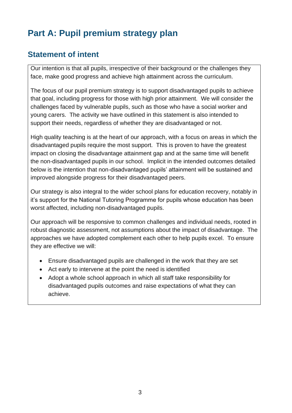# **Part A: Pupil premium strategy plan**

#### **Statement of intent**

Our intention is that all pupils, irrespective of their background or the challenges they face, make good progress and achieve high attainment across the curriculum.

The focus of our pupil premium strategy is to support disadvantaged pupils to achieve that goal, including progress for those with high prior attainment. We will consider the challenges faced by vulnerable pupils, such as those who have a social worker and young carers. The activity we have outlined in this statement is also intended to support their needs, regardless of whether they are disadvantaged or not.

High quality teaching is at the heart of our approach, with a focus on areas in which the disadvantaged pupils require the most support. This is proven to have the greatest impact on closing the disadvantage attainment gap and at the same time will benefit the non-disadvantaged pupils in our school. Implicit in the intended outcomes detailed below is the intention that non-disadvantaged pupils' attainment will be sustained and improved alongside progress for their disadvantaged peers.

Our strategy is also integral to the wider school plans for education recovery, notably in it's support for the National Tutoring Programme for pupils whose education has been worst affected, including non-disadvantaged pupils.

Our approach will be responsive to common challenges and individual needs, rooted in robust diagnostic assessment, not assumptions about the impact of disadvantage. The approaches we have adopted complement each other to help pupils excel. To ensure they are effective we will:

- Ensure disadvantaged pupils are challenged in the work that they are set
- Act early to intervene at the point the need is identified
- Adopt a whole school approach in which all staff take responsibility for disadvantaged pupils outcomes and raise expectations of what they can achieve.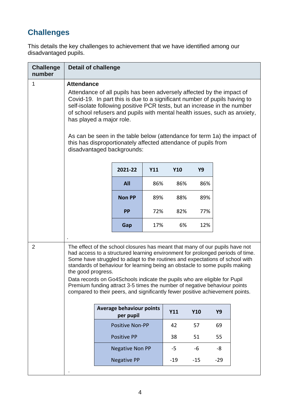## **Challenges**

This details the key challenges to achievement that we have identified among our disadvantaged pupils.

| <b>Challenge</b><br>number | <b>Detail of challenge</b>                                                                                                                                                                                                                                                                                                                                                                                                                                                                                                                                                                     |                                              |     |       |            |           |  |  |  |
|----------------------------|------------------------------------------------------------------------------------------------------------------------------------------------------------------------------------------------------------------------------------------------------------------------------------------------------------------------------------------------------------------------------------------------------------------------------------------------------------------------------------------------------------------------------------------------------------------------------------------------|----------------------------------------------|-----|-------|------------|-----------|--|--|--|
| 1                          | <b>Attendance</b><br>Attendance of all pupils has been adversely affected by the impact of<br>Covid-19. In part this is due to a significant number of pupils having to<br>self-isolate following positive PCR tests, but an increase in the number<br>of school refusers and pupils with mental health issues, such as anxiety,<br>has played a major role.<br>As can be seen in the table below (attendance for term 1a) the impact of<br>this has disproportionately affected attendance of pupils from<br>disadvantaged backgrounds:                                                       |                                              |     |       |            |           |  |  |  |
|                            |                                                                                                                                                                                                                                                                                                                                                                                                                                                                                                                                                                                                | 2021-22                                      | Y11 | Y10   | <b>Y9</b>  |           |  |  |  |
|                            |                                                                                                                                                                                                                                                                                                                                                                                                                                                                                                                                                                                                | <b>All</b>                                   | 86% | 86%   | 86%        |           |  |  |  |
|                            |                                                                                                                                                                                                                                                                                                                                                                                                                                                                                                                                                                                                | <b>Non PP</b>                                | 89% | 88%   | 89%        |           |  |  |  |
|                            |                                                                                                                                                                                                                                                                                                                                                                                                                                                                                                                                                                                                | <b>PP</b>                                    | 72% | 82%   | 77%        |           |  |  |  |
|                            |                                                                                                                                                                                                                                                                                                                                                                                                                                                                                                                                                                                                | Gap                                          | 17% | 6%    | 12%        |           |  |  |  |
|                            |                                                                                                                                                                                                                                                                                                                                                                                                                                                                                                                                                                                                |                                              |     |       |            |           |  |  |  |
| $\overline{2}$             | The effect of the school closures has meant that many of our pupils have not<br>had access to a structured learning environment for prolonged periods of time.<br>Some have struggled to adapt to the routines and expectations of school with<br>standards of behaviour for learning being an obstacle to some pupils making<br>the good progress.<br>Data records on Go4Schools indicate the pupils who are eligible for Pupil<br>Premium funding attract 3-5 times the number of negative behaviour points<br>compared to their peers, and significantly fewer positive achievement points. |                                              |     |       |            |           |  |  |  |
|                            |                                                                                                                                                                                                                                                                                                                                                                                                                                                                                                                                                                                                | <b>Average behaviour points</b><br>per pupil |     | Y11   | <b>Y10</b> | <b>Y9</b> |  |  |  |
|                            |                                                                                                                                                                                                                                                                                                                                                                                                                                                                                                                                                                                                | <b>Positive Non-PP</b>                       |     | 42    | 57         | 69        |  |  |  |
|                            |                                                                                                                                                                                                                                                                                                                                                                                                                                                                                                                                                                                                | <b>Positive PP</b>                           |     | 38    | 51         | 55        |  |  |  |
|                            |                                                                                                                                                                                                                                                                                                                                                                                                                                                                                                                                                                                                | <b>Negative Non PP</b>                       |     |       | -6         | -8        |  |  |  |
|                            |                                                                                                                                                                                                                                                                                                                                                                                                                                                                                                                                                                                                | <b>Negative PP</b>                           |     | $-19$ | $-15$      | $-29$     |  |  |  |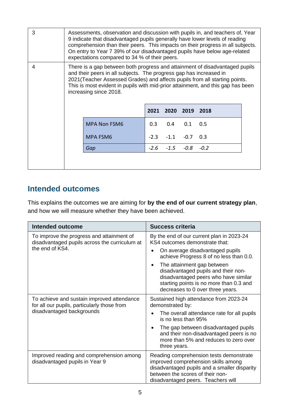| 3 | Assessments, observation and discussion with pupils in, and teachers of, Year<br>9 indicate that disadvantaged pupils generally have lower levels of reading<br>comprehension than their peers. This impacts on their progress in all subjects.<br>On entry to Year 7 39% of our disadvantaged pupils have below age-related<br>expectations compared to 34 % of their peers. |                                                                                                                                                                                                                                                                                                                                               |        |                |        |        |  |  |
|---|-------------------------------------------------------------------------------------------------------------------------------------------------------------------------------------------------------------------------------------------------------------------------------------------------------------------------------------------------------------------------------|-----------------------------------------------------------------------------------------------------------------------------------------------------------------------------------------------------------------------------------------------------------------------------------------------------------------------------------------------|--------|----------------|--------|--------|--|--|
| 4 |                                                                                                                                                                                                                                                                                                                                                                               | There is a gap between both progress and attainment of disadvantaged pupils<br>and their peers in all subjects. The progress gap has increased in<br>2021 (Teacher Assessed Grades) and affects pupils from all starting points.<br>This is most evident in pupils with mid-prior attainment, and this gap has been<br>increasing since 2018. |        |                |        |        |  |  |
|   |                                                                                                                                                                                                                                                                                                                                                                               |                                                                                                                                                                                                                                                                                                                                               |        | 2021 2020 2019 |        | - 2018 |  |  |
|   |                                                                                                                                                                                                                                                                                                                                                                               | <b>MPA Non FSM6</b>                                                                                                                                                                                                                                                                                                                           | 0.3    | 0.4            | 0.1    | 0.5    |  |  |
|   |                                                                                                                                                                                                                                                                                                                                                                               | MPA FSM6                                                                                                                                                                                                                                                                                                                                      | $-2.3$ | $-1.1$         | $-0.7$ | 0.3    |  |  |
|   |                                                                                                                                                                                                                                                                                                                                                                               | Gap                                                                                                                                                                                                                                                                                                                                           |        | $-2.6 - 1.5$   | -0.8   | $-0.2$ |  |  |
|   |                                                                                                                                                                                                                                                                                                                                                                               |                                                                                                                                                                                                                                                                                                                                               |        |                |        |        |  |  |

#### **Intended outcomes**

This explains the outcomes we are aiming for **by the end of our current strategy plan**, and how we will measure whether they have been achieved.

| <b>Intended outcome</b>                                                                    | Success criteria                                                                                                                                                                                         |  |  |  |
|--------------------------------------------------------------------------------------------|----------------------------------------------------------------------------------------------------------------------------------------------------------------------------------------------------------|--|--|--|
| To improve the progress and attainment of<br>disadvantaged pupils across the curriculum at | By the end of our current plan in 2023-24<br>KS4 outcomes demonstrate that:                                                                                                                              |  |  |  |
| the end of KS4.                                                                            | On average disadvantaged pupils<br>achieve Progress 8 of no less than 0.0.                                                                                                                               |  |  |  |
|                                                                                            | The attainment gap between<br>disadvantaged pupils and their non-<br>disadvantaged peers who have similar<br>starting points is no more than 0.3 and<br>decreases to 0 over three years.                 |  |  |  |
| To achieve and sustain improved attendance<br>for all our pupils, particularly those from  | Sustained high attendance from 2023-24<br>demonstrated by:                                                                                                                                               |  |  |  |
| disadvantaged backgrounds                                                                  | The overall attendance rate for all pupils<br>is no less than 95%                                                                                                                                        |  |  |  |
|                                                                                            | The gap between disadvantaged pupils<br>and their non-disadvantaged peers is no<br>more than 5% and reduces to zero over<br>three years.                                                                 |  |  |  |
| Improved reading and comprehension among<br>disadvantaged pupils in Year 9                 | Reading comprehension tests demonstrate<br>improved comprehension skills among<br>disadvantaged pupils and a smaller disparity<br>between the scores of their non-<br>disadvantaged peers. Teachers will |  |  |  |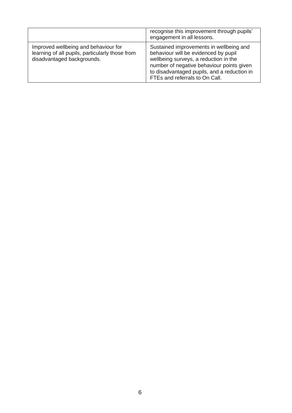|                                                                                                                       | recognise this improvement through pupils'<br>engagement in all lessons.                                                                                                                                                                               |
|-----------------------------------------------------------------------------------------------------------------------|--------------------------------------------------------------------------------------------------------------------------------------------------------------------------------------------------------------------------------------------------------|
| Improved wellbeing and behaviour for<br>learning of all pupils, particularly those from<br>disadvantaged backgrounds. | Sustained improvements in wellbeing and<br>behaviour will be evidenced by pupil<br>wellbeing surveys, a reduction in the<br>number of negative behaviour points given<br>to disadvantaged pupils, and a reduction in<br>FTEs and referrals to On Call. |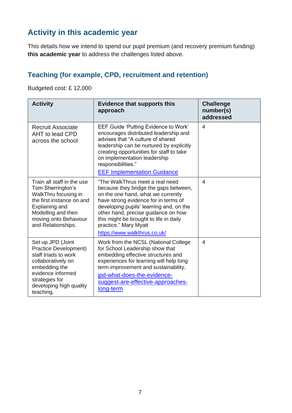### **Activity in this academic year**

This details how we intend to spend our pupil premium (and recovery premium funding) **this academic year** to address the challenges listed above.

#### **Teaching (for example, CPD, recruitment and retention)**

Budgeted cost: £ 12,000

| <b>Activity</b>                                                                                                                                                                             | <b>Evidence that supports this</b><br>approach                                                                                                                                                                                                                                                                                              | <b>Challenge</b><br>number(s)<br>addressed |
|---------------------------------------------------------------------------------------------------------------------------------------------------------------------------------------------|---------------------------------------------------------------------------------------------------------------------------------------------------------------------------------------------------------------------------------------------------------------------------------------------------------------------------------------------|--------------------------------------------|
| <b>Recruit Associate</b><br>AHT to lead CPD<br>across the school                                                                                                                            | <b>EEF Guide 'Putting Evidence to Work'</b><br>encourages distributed leadership and<br>advises that "A culture of shared<br>leadership can be nurtured by explicitly<br>creating opportunities for staff to take<br>on implementation leadership<br>responsibilities."<br><b>EEF Implementation Guidance</b>                               | $\overline{4}$                             |
| Train all staff in the use<br>Tom Sherrington's<br>WalkThru focusing in<br>the first instance on and<br>Explaining and<br>Modelling and then<br>moving onto Behaviour<br>and Relationships. | "The WalkThrus meet a real need<br>because they bridge the gaps between,<br>on the one hand, what we currently<br>have strong evidence for in terms of<br>developing pupils' learning and, on the<br>other hand, precise guidance on how<br>this might be brought to life in daily<br>practice." Mary Myatt<br>https://www.walkthrus.co.uk/ | $\overline{4}$                             |
| Set up JPD (Joint<br>Practice Development)<br>staff triads to work<br>collaboratively on<br>embedding the<br>evidence informed<br>strategies for<br>developing high quality<br>teaching.    | Work from the NCSL (National College<br>for School Leadership show that<br>embedding effective structures and<br>experiences for learning will help long<br>term improvement and sustainability,<br>jpd-what-does-the-evidence-<br>suggest-are-effective-approaches-<br>long-term                                                           | 4                                          |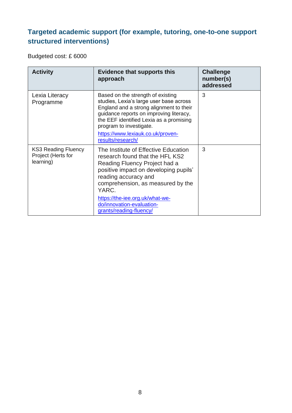#### **Targeted academic support (for example, tutoring, one-to-one support structured interventions)**

Budgeted cost: £ 6000

| <b>Activity</b>                                               | <b>Evidence that supports this</b><br>approach                                                                                                                                                                                                                                                     | <b>Challenge</b><br>number(s)<br>addressed |
|---------------------------------------------------------------|----------------------------------------------------------------------------------------------------------------------------------------------------------------------------------------------------------------------------------------------------------------------------------------------------|--------------------------------------------|
| Lexia Literacy<br>Programme                                   | Based on the strength of existing<br>studies, Lexia's large user base across<br>England and a strong alignment to their<br>guidance reports on improving literacy,<br>the EEF identified Lexia as a promising<br>program to investigate.<br>https://www.lexiauk.co.uk/proven-<br>results/research/ | 3                                          |
| <b>KS3 Reading Fluency</b><br>Project (Herts for<br>learning) | The Institute of Effective Education<br>research found that the HFL KS2<br>Reading Fluency Project had a<br>positive impact on developing pupils'<br>reading accuracy and<br>comprehension, as measured by the<br>YARC.<br>https://the-iee.org.uk/what-we-<br>do/innovation-evaluation-            | 3                                          |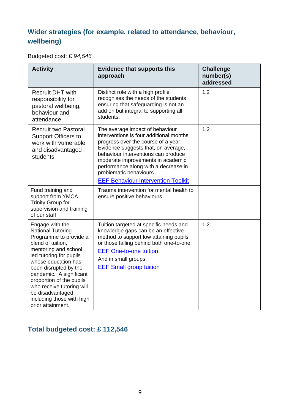#### **Wider strategies (for example, related to attendance, behaviour, wellbeing)**

Budgeted cost: £ *94,546*

| <b>Activity</b>                                                                                                                                                                                                                                                                                                                                         | <b>Evidence that supports this</b><br>approach                                                                                                                                                                                                                                                                                                        | <b>Challenge</b><br>number(s)<br>addressed |
|---------------------------------------------------------------------------------------------------------------------------------------------------------------------------------------------------------------------------------------------------------------------------------------------------------------------------------------------------------|-------------------------------------------------------------------------------------------------------------------------------------------------------------------------------------------------------------------------------------------------------------------------------------------------------------------------------------------------------|--------------------------------------------|
| <b>Recruit DHT with</b><br>responsibility for<br>pastoral wellbeing,<br>behaviour and<br>attendance                                                                                                                                                                                                                                                     | Distinct role with a high profile<br>recognises the needs of the students<br>ensuring that safeguarding is not an<br>add on but integral to supporting all<br>students.                                                                                                                                                                               | 1,2                                        |
| <b>Recruit two Pastoral</b><br><b>Support Officers to</b><br>work with vulnerable<br>and disadvantaged<br>students                                                                                                                                                                                                                                      | The average impact of behaviour<br>interventions is four additional months'<br>progress over the course of a year.<br>Evidence suggests that, on average,<br>behaviour interventions can produce<br>moderate improvements in academic<br>performance along with a decrease in<br>problematic behaviours.<br><b>EEF Behaviour Intervention Toolkit</b> | 1,2                                        |
| Fund training and<br>support from YMCA<br><b>Trinity Group for</b><br>supervision and training<br>of our staff                                                                                                                                                                                                                                          | Trauma intervention for mental health to<br>ensure positive behaviours.                                                                                                                                                                                                                                                                               |                                            |
| Engage with the<br><b>National Tutoring</b><br>Programme to provide a<br>blend of tuition,<br>mentoring and school<br>led tutoring for pupils<br>whose education has<br>been disrupted by the<br>pandemic. A significant<br>proportion of the pupils<br>who receive tutoring will<br>be disadvantaged<br>including those with high<br>prior attainment. | Tuition targeted at specific needs and<br>knowledge gaps can be an effective<br>method to support low attaining pupils<br>or those falling behind both one-to-one:<br><b>EEF One-to-one tuition</b><br>And in small groups:<br><b>EEF Small group tuition</b>                                                                                         | 1,2                                        |

#### **Total budgeted cost: £ 112,546**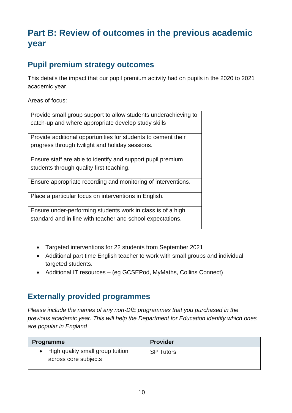# **Part B: Review of outcomes in the previous academic year**

#### **Pupil premium strategy outcomes**

This details the impact that our pupil premium activity had on pupils in the 2020 to 2021 academic year.

Areas of focus:

Provide small group support to allow students underachieving to catch-up and where appropriate develop study skills

Provide additional opportunities for students to cement their progress through twilight and holiday sessions.

Ensure staff are able to identify and support pupil premium students through quality first teaching.

Ensure appropriate recording and monitoring of interventions.

Place a particular focus on interventions in English.

Ensure under-performing students work in class is of a high standard and in line with teacher and school expectations.

- Targeted interventions for 22 students from September 2021
- Additional part time English teacher to work with small groups and individual targeted students.
- Additional IT resources (eg GCSEPod, MyMaths, Collins Connect)

#### **Externally provided programmes**

*Please include the names of any non-DfE programmes that you purchased in the previous academic year. This will help the Department for Education identify which ones are popular in England*

| <b>Programme</b>                                           | <b>Provider</b>  |
|------------------------------------------------------------|------------------|
| • High quality small group tuition<br>across core subjects | <b>SP Tutors</b> |